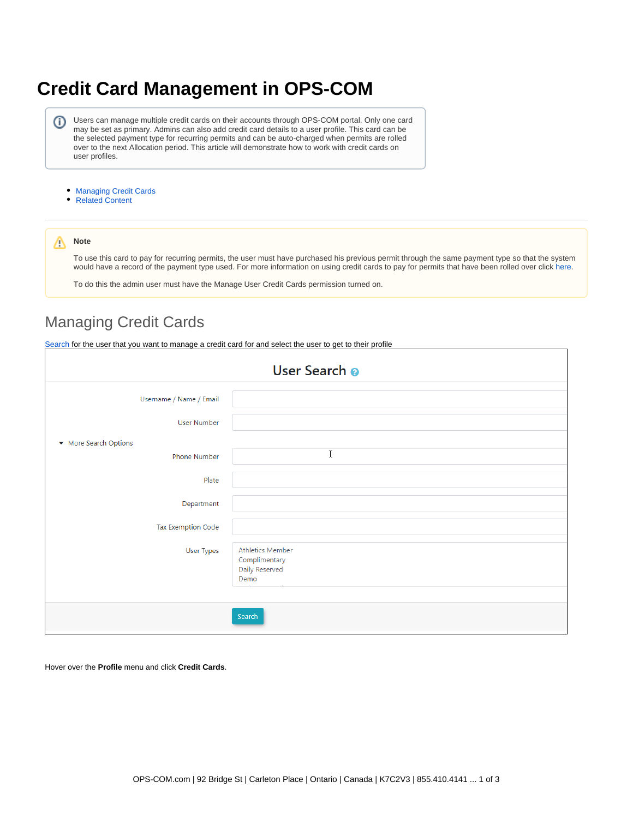# <span id="page-0-1"></span>**Credit Card Management in OPS-COM**

Users can manage multiple credit cards on their accounts through OPS-COM portal. Only one card (i) may be set as primary. Admins can also add credit card details to a user profile. This card can be the selected payment type for recurring permits and can be auto-charged when permits are rolled over to the next Allocation period. This article will demonstrate how to work with credit cards on user profiles.

- [Managing Credit Cards](#page-0-0)
- [Related Content](#page-2-0)

#### Δ **Note**

To use this card to pay for recurring permits, the user must have purchased his previous permit through the same payment type so that the system would have a record of the payment type used. For more information on using credit cards to pay for permits that have been rolled over click [here.](https://wiki.tomahawk.ca/x/UIFcAg)

To do this the admin user must have the Manage User Credit Cards permission turned on.

## <span id="page-0-0"></span>Managing Credit Cards

[Search](https://wiki.tomahawk.ca/x/IIG7) for the user that you want to manage a credit card for and select the user to get to their profile

| User Search o                       |                                                                    |  |  |  |  |  |  |
|-------------------------------------|--------------------------------------------------------------------|--|--|--|--|--|--|
| Username / Name / Email             |                                                                    |  |  |  |  |  |  |
| <b>User Number</b>                  |                                                                    |  |  |  |  |  |  |
| More Search Options<br>Phone Number | I                                                                  |  |  |  |  |  |  |
| Plate                               |                                                                    |  |  |  |  |  |  |
| Department                          |                                                                    |  |  |  |  |  |  |
| <b>Tax Exemption Code</b>           |                                                                    |  |  |  |  |  |  |
| User Types                          | <b>Athletics Member</b><br>Complimentary<br>Daily Reserved<br>Demo |  |  |  |  |  |  |
|                                     | Search                                                             |  |  |  |  |  |  |

Hover over the **Profile** menu and click **Credit Cards**.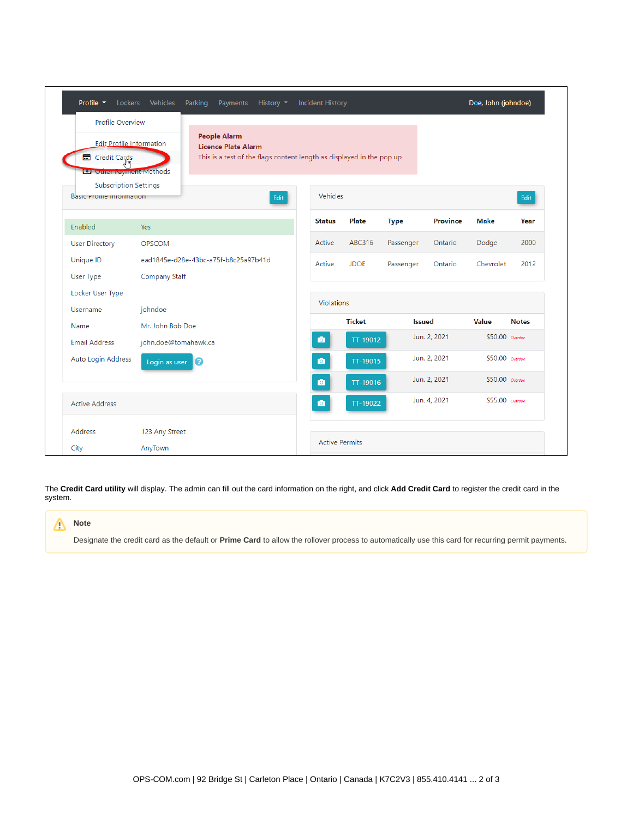| Profile $\blacktriangleright$                                                                         | Lockers Vehicles     | Parking<br>History $\blacktriangledown$<br>Incident History<br>Payments                                                    |                       |               |               | Doe, John (johndoe) |                 |              |
|-------------------------------------------------------------------------------------------------------|----------------------|----------------------------------------------------------------------------------------------------------------------------|-----------------------|---------------|---------------|---------------------|-----------------|--------------|
| Profile Overview<br><b>Edit Profile Information</b><br>Credit Cards<br><b>O</b> Other Payment Methods |                      | <b>People Alarm</b><br><b>Licence Plate Alarm</b><br>This is a test of the flags content length as displayed in the pop up |                       |               |               |                     |                 |              |
| <b>Subscription Settings</b><br><b>Basic Pronie information</b>                                       |                      | Edit                                                                                                                       | Vehicles              |               |               |                     |                 | Edit         |
| Enabled                                                                                               | Yes                  |                                                                                                                            | <b>Status</b>         | Plate         | <b>Type</b>   | <b>Province</b>     | <b>Make</b>     | Year         |
| <b>User Directory</b>                                                                                 | <b>OPSCOM</b>        |                                                                                                                            | Active                | <b>ABC316</b> | Passenger     | Ontario             | Dodge           | 2000         |
| Unique ID                                                                                             |                      | ead1845e-d28e-43bc-a75f-b8c25a97b41d                                                                                       | Active                | <b>JDOE</b>   | Passenger     | Ontario             | Chevrolet       | 2012         |
| User Type                                                                                             | Company Staff        |                                                                                                                            |                       |               |               |                     |                 |              |
| Locker User Type<br>Username                                                                          | johndoe              |                                                                                                                            | Violations            |               |               |                     |                 |              |
| Name                                                                                                  | Mr. John Bob Doe     |                                                                                                                            |                       | <b>Ticket</b> | <b>Issued</b> |                     | Value           | <b>Notes</b> |
| <b>Email Address</b>                                                                                  | john.doe@tomahawk.ca |                                                                                                                            | $\bullet$             | TT-19012      |               | Jun. 2, 2021        | \$50.00 Overdue |              |
| Auto Login Address                                                                                    | Login as user        | ค                                                                                                                          | $\bullet$             | TT-19015      |               | Jun. 2, 2021        | \$50.00 Overdue |              |
|                                                                                                       |                      |                                                                                                                            | $\bullet$             | TT-19016      |               | Jun. 2, 2021        | \$50.00 Overdue |              |
| <b>Active Address</b>                                                                                 |                      |                                                                                                                            | $\bullet$             | TT-19022      |               | Jun. 4, 2021        | \$55,00 Overdue |              |
| <b>Address</b>                                                                                        | 123 Any Street       |                                                                                                                            |                       |               |               |                     |                 |              |
| City                                                                                                  | AnyTown              |                                                                                                                            | <b>Active Permits</b> |               |               |                     |                 |              |

The **Credit Card utility** will display. The admin can fill out the card information on the right, and click **Add Credit Card** to register the credit card in the system.

### **Note** Δ

Designate the credit card as the default or **Prime Card** to allow the rollover process to automatically use this card for recurring permit payments.